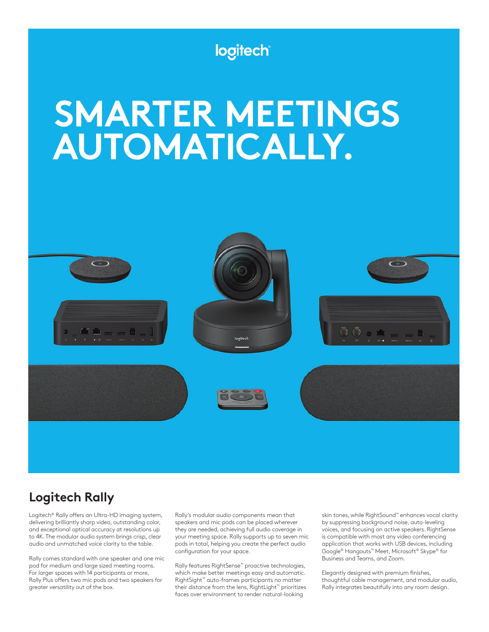

# **Logitech Rally**

Logitech® Rally offers an Ultra-HD imaging system, delivering brilliantly sharp video, outstanding color, and exceptional optical accuracy at resolutions up to 4K. The modular audio system brings crisp, clear audio and unmatched voice clarity to the table.

Rally comes standard with one speaker and one mic pod for medium and large sized meeting rooms. For larger spaces with 14 participants or more, Rally Plus offers two mic pods and two speakers for greater versatility out of the box.

Rally's modular audio components mean that speakers and mic pods can be placed wherever they are needed, achieving full audio coverage in your meeting space. Rally supports up to seven mic pods in total, helping you create the perfect audio configuration for your space.

Rally features RightSense™ proactive technologies, which make better meetings easy and automatic. RightSight™ auto-frames participants no matter their distance from the lens, RightLight™ prioritizes faces over environment to render natural-looking

skin tones, while RightSound™ enhances vocal clarity by suppressing background noise, auto-leveling voices, and focusing on active speakers. RightSense is compatible with most any video conferencing application that works with USB devices, including Google® Hangouts™ Meet, Microsoft® Skype® for Business and Teams, and Zoom.

Elegantly designed with premium finishes, thoughtful cable management, and modular audio, Rally integrates beautifully into any room design.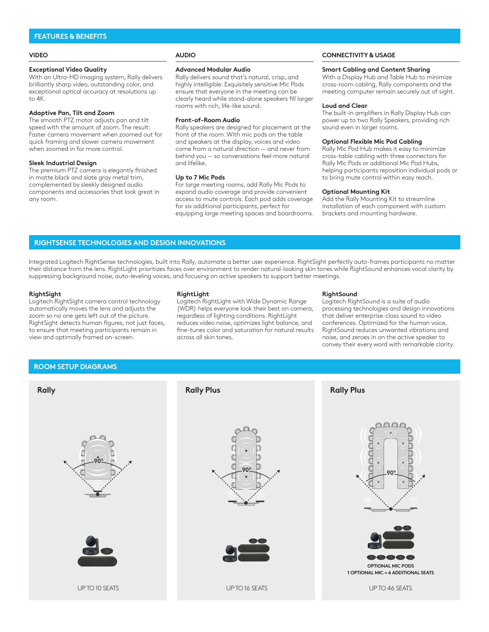### **FEATURES & BENEFITS**

#### **VIDEO**

#### **Exceptional Video Quality**

With an Ultra-HD imaging system, Rally delivers brilliantly sharp video, outstanding color, and exceptional optical accuracy at resolutions up to 4K.

### **Adaptive Pan, Tilt and Zoom**

The smooth PTZ motor adjusts pan and tilt speed with the amount of zoom. The result: Faster camera movement when zoomed out for quick framing and slower camera movement when zoomed in for more control.

#### **Sleek Industrial Design**

The premium PTZ camera is elegantly finished in matte black and slate gray metal trim, complemented by sleekly designed audio components and accessories that look great in any room.

## **AUDIO**

#### **Advanced Modular Audio**

Rally delivers sound that's natural, crisp, and highly intelligible. Exquisitely sensitive Mic Pods ensure that everyone in the meeting can be clearly heard while stand-alone speakers fill larger rooms with rich, life-like sound.

#### **Front-of-Room Audio**

Rally speakers are designed for placement at the front of the room. With mic pods on the table and speakers at the display, voices and video come from a natural direction — and never from behind you — so conversations feel more natural and lifelike.

#### **Up to 7 Mic Pods**

For large meeting rooms, add Rally Mic Pods to expand audio coverage and provide convenient access to mute controls. Each pod adds coverage for six additional participants, perfect for equipping large meeting spaces and boardrooms.

### **CONNECTIVITY & USAGE**

#### **Smart Cabling and Content Sharing**

With a Display Hub and Table Hub to minimize cross-room cabling, Rally components and the meeting computer remain securely out of sight.

#### **Loud and Clear**

The built-in amplifiers in Rally Display Hub can power up to two Rally Speakers, providing rich sound even in larger rooms.

#### **Optional Flexible Mic Pod Cabling**

Rally Mic Pod Hub makes it easy to minimize cross-table cabling with three connectors for Rally Mic Pods or additional Mic Pod Hubs, helping participants reposition individual pods or to bring mute control within easy reach.

#### **Optional Mounting Kit**

Add the Rally Mounting Kit to streamline installation of each component with custom brackets and mounting hardware.

### **RIGHTSENSE TECHNOLOGIES AND DESIGN INNOVATIONS**

Integrated Logitech RightSense technologies, built into Rally, automate a better user experience. RightSight perfectly auto-frames participants no matter their distance from the lens. RightLight prioritizes faces over environment to render natural-looking skin tones while RightSound enhances vocal clarity by suppressing background noise, auto-leveling voices, and focusing on active speakers to support better meetings.

#### **RightSight**

Logitech RightSight camera control technology automatically moves the lens and adjusts the zoom so no one gets left out of the picture. RightSight detects human figures, not just faces, to ensure that meeting participants remain in view and optimally framed on-screen.

#### **RightLight**

Logitech RightLight with Wide Dynamic Range (WDR) helps everyone look their best on camera, regardless of lighting conditions. RightLight reduces video noise, optimizes light balance, and fine-tunes color and saturation for natural results across all skin tones.

#### **RightSound**

Logitech RightSound is a suite of audio processing technologies and design innovations that deliver enterprise-class sound to video conferences. Optimized for the human voice, RightSound reduces unwanted vibrations and noise, and zeroes in on the active speaker to convey their every word with remarkable clarity.

### **ROOM SETUP DIAGRAMS**

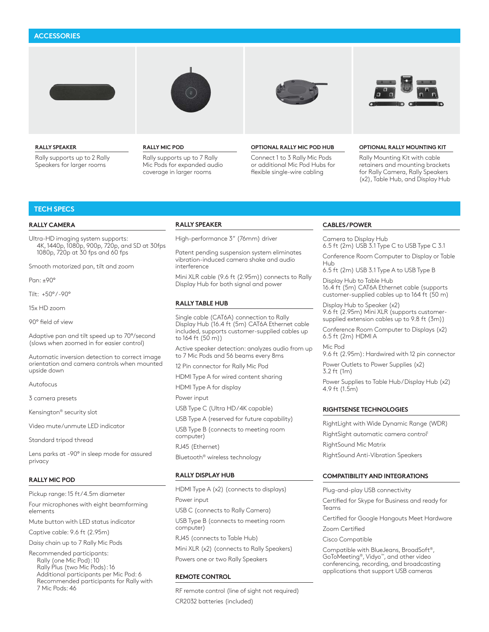### **ACCESSORIES**



#### **RALLY SPEAKER**

Rally supports up to 2 Rally Speakers for larger rooms







#### **RALLY MIC POD**

Rally supports up to 7 Rally Mic Pods for expanded audio coverage in larger rooms

#### **OPTIONAL RALLY MIC POD HUB**

Connect 1 to 3 Rally Mic Pods or additional Mic Pod Hubs for flexible single-wire cabling

#### **OPTIONAL RALLY MOUNTING KIT**

Rally Mounting Kit with cable retainers and mounting brackets for Rally Camera, Rally Speakers (x2), Table Hub, and Display Hub

### **TECH SPECS**

#### **RALLY CAMERA**

Ultra-HD imaging system supports: 4K, 1440p, 1080p, 900p, 720p, and SD at 30fps 1080p, 720p at 30 fps and 60 fps

Smooth motorized pan, tilt and zoom

Pan: ±90°

Tilt: +50° / -90°

15x HD zoom

90° field of view

Adaptive pan and tilt speed up to 70°/second (slows when zoomed in for easier control)

Automatic inversion detection to correct image orientation and camera controls when mounted upside down

Autofocus

3 camera presets

Kensington® security slot

Video mute/unmute LED indicator

Standard tripod thread

Lens parks at -90° in sleep mode for assured privacy

#### **RALLY MIC POD**

Pickup range: 15 ft / 4.5m diameter

Four microphones with eight beamforming elements

Mute button with LED status indicator

Captive cable: 9.6 ft (2.95m)

Daisy chain up to 7 Rally Mic Pods

Recommended participants: Rally (one Mic Pod): 10 Rally Plus (two Mic Pods): 16 Additional participants per Mic Pod: 6 Recommended participants for Rally with 7 Mic Pods: 46

#### **RALLY SPEAKER**

High-performance 3" (76mm) driver

Patent pending suspension system eliminates vibration-induced camera shake and audio interference

Mini XLR cable (9.6 ft (2.95m)) connects to Rally Display Hub for both signal and power

#### **RALLY TABLE HUB**

Single cable (CAT6A) connection to Rally Display Hub (16.4 ft (5m) CAT6A Ethernet cable included, supports customer-supplied cables up to 164 ft (50 m))

Active speaker detection: analyzes audio from up to 7 Mic Pods and 56 beams every 8ms

12 Pin connector for Rally Mic Pod

HDMI Type A for wired content sharing

HDMI Type A for display

Power input

- USB Type C (Ultra HD / 4K capable)
- USB Type A (reserved for future capability)

USB Type B (connects to meeting room computer)

RJ45 (Ethernet)

Bluetooth® wireless technology

### **RALLY DISPLAY HUB**

HDMI Type A (x2) (connects to displays) Power input USB C (connects to Rally Camera) USB Type B (connects to meeting room computer) RJ45 (connects to Table Hub) Mini XLR (x2) (connects to Rally Speakers) Powers one or two Rally Speakers

#### **REMOTE CONTROL**

RF remote control (line of sight not required) CR2032 batteries (included)

#### **CABLES / POWER**

Camera to Display Hub 6.5 ft (2m) USB 3.1 Type C to USB Type C 3.1

Conference Room Computer to Display or Table Hub

6.5 ft (2m) USB 3.1 Type A to USB Type B

Display Hub to Table Hub 16.4 ft (5m) CAT6A Ethernet cable (supports customer-supplied cables up to 164 ft (50 m)

Display Hub to Speaker (x2) 9.6 ft (2.95m) Mini XLR (supports customersupplied extension cables up to 9.8 ft (3m))

Conference Room Computer to Displays (x2) 6.5 ft (2m) HDMI A

Mic Pod 9.6 ft (2.95m): Hardwired with 12 pin connector

Power Outlets to Power Supplies (x2) 3.2 ft (1m)

Power Supplies to Table Hub/Display Hub (x2) 4.9 ft (1.5m)

### **RIGHTSENSE TECHNOLOGIES**

RightLight with Wide Dynamic Range (WDR) RightSight automatic camera control<sup>1</sup> RightSound Mic Matrix

RightSound Anti-Vibration Speakers

#### **COMPATIBILITY AND INTEGRATIONS**

Plug-and-play USB connectivity Certified for Skype for Business and ready for Teams

Certified for Google Hangouts Meet Hardware Zoom Certified

Cisco Compatible

Compatible with BlueJeans, BroadSoft®, GoToMeeting®, Vidyo™, and other video conferencing, recording, and broadcasting applications that support USB cameras